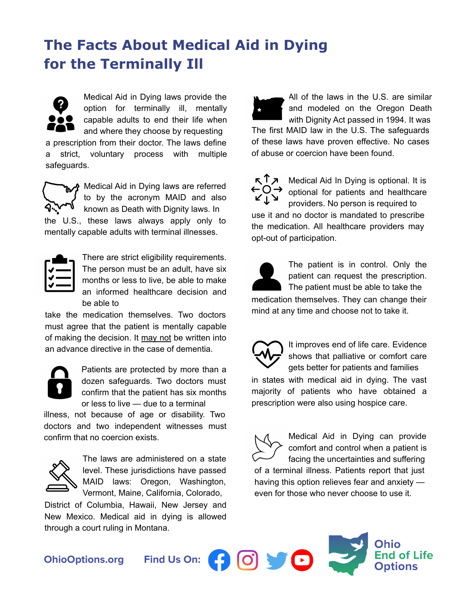# **The Facts About Medical Aid in Dying for the Terminally Ill**



Medical Aid in Dying laws provide the option for terminally ill, mentally capable adults to end their life when and where they choose by requesting

a prescription from their doctor. The laws define a strict, voluntary process with multiple safeguards.



Medical Aid in Dying laws are referred to by the acronym MAID and also known as Death with Dignity laws. In the U.S., these laws always apply only to

mentally capable adults with terminal illnesses.



There are strict eligibility requirements. The person must be an adult, have six months or less to live, be able to make an informed healthcare decision and be able to

take the medication themselves. Two doctors must agree that the patient is mentally capable of making the decision. It may not be written into an advance directive in the case of dementia.



Patients are protected by more than a dozen safeguards. Two doctors must confirm that the patient has six months or less to live — due to a terminal

illness, not because of age or disability. Two doctors and two independent witnesses must confirm that no coercion exists.



The laws are administered on a state level. These jurisdictions have passed MAID laws: Oregon, Washington, Vermont, Maine, California, Colorado,

District of Columbia, Hawaii, New Jersey and New Mexico. Medical aid in dying is allowed through a court ruling in Montana.

The first MAID law in the U.S. The safeguards of these laws have proven effective. No cases of abuse or coercion have been found. All of the laws in the U.S. are similar and modeled on the Oregon Death with Dignity Act passed in 1994. It was

 $R^{\uparrow}$ Medical Aid In Dying is optional. It is  $\leftarrow$  O  $\rightarrow$  optional for patients and healthcare providers. No person is required to use it and no doctor is mandated to prescribe the medication. All healthcare providers may opt-out of participation.

The patient is in control. Only the patient can request the prescription. The patient must be able to take the

medication themselves. They can change their mind at any time and choose not to take it.

It improves end of life care. Evidence shows that palliative or comfort care gets better for patients and families in states with medical aid in dying. The vast majority of patients who have obtained a prescription were also using hospice care.

Medical Aid in Dying can provide comfort and control when a patient is facing the uncertainties and suffering of a terminal illness. Patients report that just having this option relieves fear and anxiety even for those who never choose to use it.

**End of Life** 

**[OhioOptions.org](http://www.ohiooptions.org)**

**Find Us On:** 

**FOOD** 

 $\Gamma$